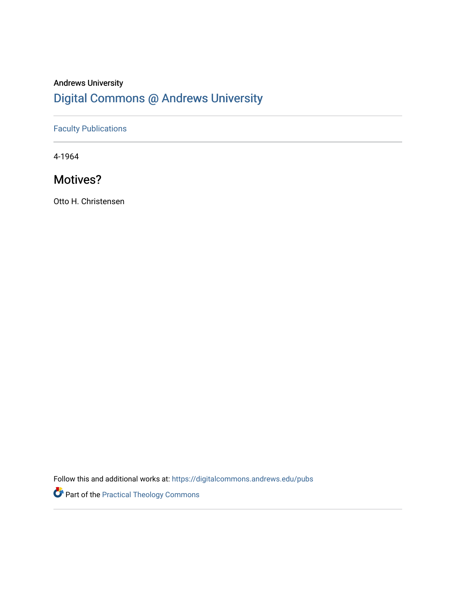## Andrews University [Digital Commons @ Andrews University](https://digitalcommons.andrews.edu/)

## [Faculty Publications](https://digitalcommons.andrews.edu/pubs)

4-1964

## Motives?

Otto H. Christensen

Follow this and additional works at: [https://digitalcommons.andrews.edu/pubs](https://digitalcommons.andrews.edu/pubs?utm_source=digitalcommons.andrews.edu%2Fpubs%2F3787&utm_medium=PDF&utm_campaign=PDFCoverPages) 

Part of the [Practical Theology Commons](http://network.bepress.com/hgg/discipline/1186?utm_source=digitalcommons.andrews.edu%2Fpubs%2F3787&utm_medium=PDF&utm_campaign=PDFCoverPages)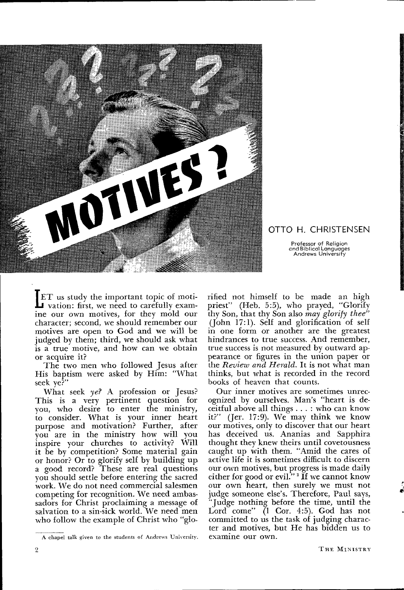

OTTO H. CHR1STENSEN

Professor of Religion and Biblical Languages Andrews University

*b***FT** us study the important topic of moti-<br>vation: first, we need to carefully examine our own motives for they mold our ine our own motives, for they mold our character; second, we should remember our motives are open to God and we will be judged by them; third, we should ask what is a true motive, and how can we obtain or acquire it?

The two men who followed Jesus after His baptism were asked by Him: "What seek ye?"

What seek *yef A* profession or Jesus? This is a very pertinent question for you, who desire to enter the ministry, to consider. What is your inner heart purpose and motivation? Further, after you are in the ministry how will you inspire your churches to activity? Will it be by competition? Some material gain or honor? Or to glorify self by building up a good record? These are real questions you should settle before entering the sacred work. We do not need commercial salesmen competing for recognition. We need ambas sadors for Christ proclaiming a message of salvation to a sin-sick world. We need men who follow the example of Christ who "glo

rified not himself to be made an high priest" (Heb. 5:5), who prayed, "Glorify thy Son, that thy Son also *may glorify thee"*  (John 17:1). Self and glorification of self in one form or another are the greatest hindrances to true success. And remember, true success is not measured by outward ap pearance or figures in the union paper or the *Review arid Herald.* It is not what man thinks, but what is recorded in the record books of heaven that counts.

Our inner motives are sometimes unrec ognized by ourselves. Man's "heart is de ceitful above all things . . . : who can know it?" (Jer. 17:9). We may think we know our motives, only to discover that our heart has deceived us. Ananias and Sapphira thought they knew theirs until covetousness caught up with them. "Amid the cares of active life it is sometimes difficult to discern our own motives, but progress is made daily either for good or evil."<sup>1</sup> If we cannot know our own heart, then surely we must not judge someone else's. Therefore, Paul says, "Judge nothing before the time, until the Lord come" (1 Cor. 4:5). God has not committed to us the task of judging charac ter and motives, but He has bidden us to

A chapel talk given to the students of Andrews University.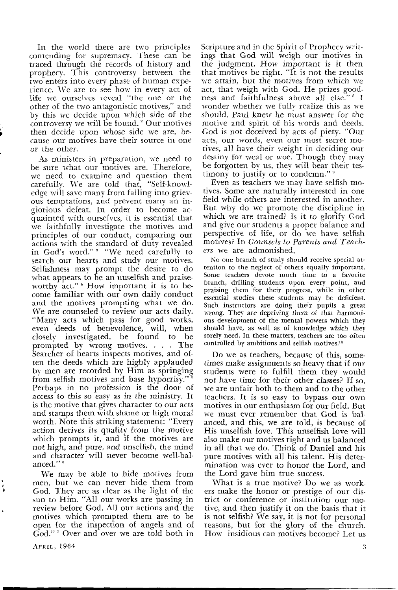In the world there are two principles contending for supremacy. These can *be*  traced through the records of history and prophecy. This controversy between the two enters into every phase of human expe rience. We are to see how in every act of life we ourselves reveal "the one or the other of the two antagonistic motives," and by this we decide upon which side of the controversy we will be found. 2 Our motives then decide upon whose side we are, be cause our motives have their source in one or the other.

As ministers in preparation, we need to be sure what our motives are. Therefore, we need to examine and question them carefully. We are told that, "Self-knowl edge will save many from falling into griev ous temptations, and prevent many an in glorious defeat. In order to become ac quainted with ourselves, it is essential that we faithfully investigate the motives and principles of our conduct, comparing our actions with the standard of duty revealed in God's word."<sup>3</sup> "We need carefully to search our hearts and study our motives. Selfishness may prompt the desire to do what appears to be an unselfish and praise worthy act." 4 How important it is to be come familiar with our own daily conduct and the motives prompting what we do. We are counseled to review our acts daily. "Many acts which pass for good works, even deeds of benevolence, will, when closely investigated, be found to be prompted by wrong motives. . , . The Searcher of hearts inspects motives, and of ten the deeds which are highly applauded by men are recorded by Him as springing from selfish motives and base hypocrisy." 5 Perhaps in no profession is the door of access to this so easy as in the ministry. It is the motive that gives character to our acts and stamps them with shame or high moral worth. Note this striking statement: "Every action derives its quality from the motive which prompts it, and if the motives are not high, and pure, and unselfish, the mind and character will never become well-bal anced."<sup>6</sup>

We may be able to hide motives from men, but we can never hide them from God. They are as clear as the light of the sun to Him. "All our works are passing in review before God. All our actions and the motives which prompted them are to be open for the inspection of angels and of God."' Over and over we are told both in

Scripture and in the Spirit of Prophecy writ ings that God will weigh our motives in the judgment. How important is it then that motives be right. "It is not the results we attain, but the motives from which we act, that weigh with God. He prizes good ness and faithfulness above all else." s I wonder whether we fully realize this as we should, Paul knew he must answer for the motive and spirit of his words and deeds. God is not deceived by acts of piety. "Our acts, our words, even our most secret mo tives, all have their weight in deciding our destiny for weal or woe. Though they may be forgotten by us, they will bear their tes timony to justify or to condemn." "

Even as teachers we may have selfish mo tives. Some are naturally interested in one field while others are interested in another. But why do we promote the discipline in which we are trained? Is it to glorify God and give our students a proper balance and perspective of life, or do we have selfish motives? In *Counsels to Parents and Teach ers* we are admonished,

No one branch of study should receive special at tention to the neglect of others equally important. Some teachers devote much time to a favorite branch, drilling students upon every point, and praising them for their progress, while in other essential studies these students may be deficient. Such instructors are doing their pupils a great wrong. They are depriving them of that harmoni ous development of the mental powers which they should have, as well as of knowledge which they sorely need. In these matters, teachers are too often controlled by ambitions and selfish motives.10

Do we as teachers, because of this, some times make assignments so heavy that if our students were to fulfill them they would not have time for their other classes? If so, we are unfair both to them and to the other teachers. It is so easy to bypass our own motives in our enthusiasm for our field. But we must ever remember that God is bal anced, and this, we are told, is because of His unselfish love. This unselfish love will also make our motives right and us balanced in all that we do. Think of Daniel and his pure motives with all his talent. His deter mination was ever to honor the Lord, and the Lord gave him true success.

What is a true motive? Do we as work ers make the honor or prestige of our dis trict or conference or institution our mo tive, and then justify it on the basis that it is not selfish? We say, it is not for personal reasons, but for the glory of the church. How insidious can motives become? Let us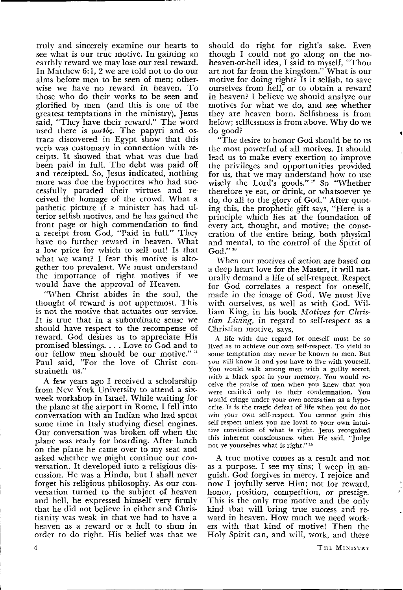truly and sincerely examine our hearts to see what is our true motive. In gaining an earthly reward we may lose our real reward. In Matthew 6:1, 2 we are told not to do our alms before men to be seen of men; other wise we have no reward in heaven. To those who do their works to be seen and glorified by men (and this is one of the greatest temptations in the ministry), Jesus said, "They have their reward." The word used there is  $\mu\sigma\theta$ ós. The papyri and ostraca discovered in Egypt show that this verb was customary in connection with re ceipts. It showed that what was due had been paid in full. The debt was paid off and receipted. So, Jesus indicated, nothing more was due the hypocrites who had suc cessfully paraded their virtues and re ceived the homage of the crowd. What a pathetic picture if a minister has had ul terior selfish motives, and he has gained the front page or high commendation to find a receipt from God, "Paid in full." They have no further reward in heaven. What a low price for which to sell out! Is that what we want? I fear this motive is alto gether too prevalent. We must understand the importance of right motives if we would have the approval of Heaven.

"When Christ abides in the soul, the thought of reward is not uppermost. This is not the motive that actuates our service. It is true that in a subordinate sense we should have respect to the recompense of reward. God desires us to appreciate His promised blessings. . . . Love to God and to our fellow men should be our motive." " Paul said, "For the love of Christ constraineth us."

A few years ago I received a scholarship from New York University to attend a sixweek workshop in Israel. While waiting for the plane at the airport in Rome, I fell into conversation with an Indian who had spent some time in Italy studying diesel engines. Our conversation was broken off when the plane was ready for boarding. After lunch on the plane he came over to my seat and asked whether we might continue our con versation. It developed into a religious dis cussion. He was a Hindu, but I shall never forget his religious philosophy. As our con versation turned to the subject of heaven and hell, he expressed himself very firmly that he did not believe in either and Chris tianity was weak in that we had to have a heaven as a reward or a hell to shun in order to do right. His belief was that we

should do right for right's sake. Even though I could not go along on the noheaven-or-hell idea, I said to myself, "Thou art not far from the kingdom." What is our motive for doing right? Is it selfish, to save ourselves from hell, or to obtain a reward in heaven? I believe we should analyze our motives for what we do, and see whether they are heaven born. Selfishness is from below; selflessness is from above. Why do we do good?

"The desire to honor God should be to us the most powerful of all motives. It should lead us to make every exertion to improve the privileges and opportunities provided for us, that we may understand how to use wisely the Lord's goods."<sup>12</sup> So "Whether therefore ye eat, or drink, or whatsoever ye do, do all to the glory of God." After quot ing this, the prophetic gift says, "Here is a principle which lies at the foundation of every act, thought, and motive; the conse cration of the entire being, both physical and mental, to the control of the Spirit of God."  $B$ 

When our motives of action are based on a deep heart love for the Master, it will nat urally demand a life of self-respect. Respect for God correlates a respect for oneself, made in the image of God. We must live with ourselves, as well as with God. Wil liam King, in his book *Motives for Chris tian Living.,* in regard to self-respect as a Christian motive, says,

A life with due regard for oneself must be so lived as to achieve our own self-respect. To yield to some temptation may never be known to men. But *you* will know it and *you* have to live with yourself. You would walk among men with a guilty secret, with a black spot in your memory. You would re ceive the praise of men when you knew that you were entitled only to their condemnation. You would cringe under your own accusation as a hypo crite. It is the tragic defeat of life when you do not win your own self-respect. You cannot gain this self-respect unless you are loyal to your own intui tive conviction of what is right. Jesus recognized this inherent consciousness when He said, "Judge not ye yourselves what is right."<sup>14</sup>

A true motive comes as a result and not as a purpose. I see my sins; I weep in an guish. God forgives in mercy. I rejoice and now I joyfully serve Him; not for reward, honor, position, competition, or prestige. This is the only true motive and the only kind that will bring true success and re ward in heaven. How much we need work ers with that kind of motive! Then the Holy Spirit can, and will, work, and there